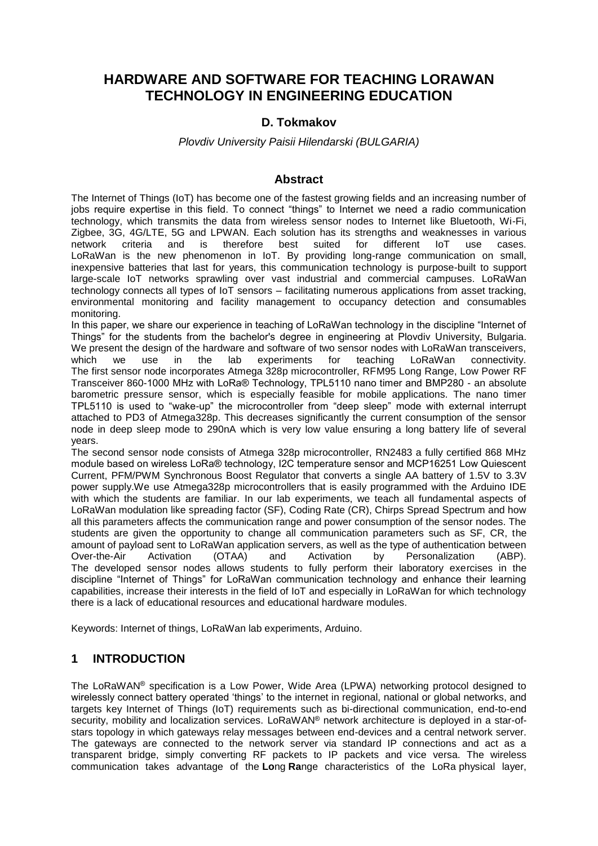# **HARDWARE AND SOFTWARE FOR TEACHING LORAWAN TECHNOLOGY IN ENGINEERING EDUCATION**

### **D. Tokmakov**

#### *Plovdiv University Paisii Hilendarski (BULGARIA)*

#### **Abstract**

The Internet of Things (IoT) has become one of the fastest growing fields and an increasing number of jobs require expertise in this field. To connect "things" to Internet we need a radio communication technology, which transmits the data from wireless sensor nodes to Internet like Bluetooth, Wi-Fi, Zigbee, 3G, 4G/LTE, 5G and LPWAN. Each solution has its strengths and weaknesses in various network criteria and is therefore best suited for different IoT use cases. LoRaWan is the new phenomenon in IoT. By providing long-range communication on small, inexpensive batteries that last for years, this communication technology is purpose-built to support large-scale IoT networks sprawling over vast industrial and commercial campuses. LoRaWan technology connects all types of IoT sensors – facilitating numerous applications from asset tracking, environmental monitoring and facility management to occupancy detection and consumables monitoring.

In this paper, we share our experience in teaching of LoRaWan technology in the discipline "Internet of Things" for the students from the bachelor's degree in engineering at Plovdiv University, Bulgaria. We present the design of the hardware and software of two sensor nodes with LoRaWan transceivers, which we use in the lab experiments for teaching LoRaWan connectivity. The first sensor node incorporates Atmega 328p microcontroller, RFM95 Long Range, Low Power RF Transceiver 860-1000 MHz with LoRa® Technology, TPL5110 nano timer and BMP280 - an absolute barometric pressure sensor, which is especially feasible for mobile applications. The nano timer TPL5110 is used to "wake-up" the microcontroller from "deep sleep" mode with external interrupt attached to PD3 of Atmega328p. This decreases significantly the current consumption of the sensor node in deep sleep mode to 290nA which is very low value ensuring a long battery life of several years.

The second sensor node consists of Atmega 328p microcontroller, RN2483 a fully certified 868 MHz module based on wireless LoRa® technology, I2C temperature sensor and MCP16251 Low Quiescent Current, PFM/PWM Synchronous Boost Regulator that converts a single AA battery of 1.5V to 3.3V power supply.We use Atmega328p microcontrollers that is easily programmed with the Arduino IDE with which the students are familiar. In our lab experiments, we teach all fundamental aspects of LoRaWan modulation like spreading factor (SF), Coding Rate (CR), Chirps Spread Spectrum and how all this parameters affects the communication range and power consumption of the sensor nodes. The students are given the opportunity to change all communication parameters such as SF, CR, the amount of payload sent to LoRaWan application servers, as well as the type of authentication between Over-the-Air Activation (OTAA) and Activation by Personalization (ABP). The developed sensor nodes allows students to fully perform their laboratory exercises in the discipline "Internet of Things" for LoRaWan communication technology and enhance their learning capabilities, increase their interests in the field of IoT and especially in LoRaWan for which technology there is a lack of educational resources and educational hardware modules.

Keywords: Internet of things, LoRaWan lab experiments, Arduino.

## **1 INTRODUCTION**

The LoRaWAN® specification is a Low Power, Wide Area (LPWA) networking protocol designed to wirelessly connect battery operated 'things' to the internet in regional, national or global networks, and targets key Internet of Things (IoT) requirements such as bi-directional communication, end-to-end security, mobility and localization services. LoRaWAN<sup>®</sup> network architecture is deployed in a star-ofstars topology in which gateways relay messages between end-devices and a central network server. The gateways are connected to the network server via standard IP connections and act as a transparent bridge, simply converting RF packets to IP packets and vice versa. The wireless communication takes advantage of the **Lo**ng **Ra**nge characteristics of the LoRa physical layer,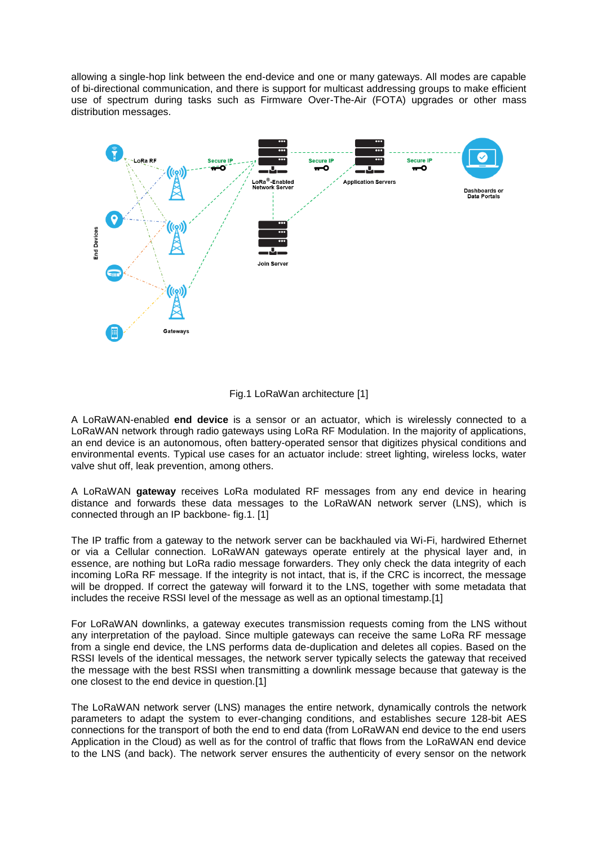allowing a single-hop link between the end-device and one or many gateways. All modes are capable of bi-directional communication, and there is support for multicast addressing groups to make efficient use of spectrum during tasks such as Firmware Over-The-Air (FOTA) upgrades or other mass distribution messages.



![](_page_1_Figure_2.jpeg)

A LoRaWAN-enabled **end device** is a sensor or an actuator, which is wirelessly connected to a LoRaWAN network through radio gateways using LoRa RF Modulation. In the majority of applications, an end device is an autonomous, often battery-operated sensor that digitizes physical conditions and environmental events. Typical use cases for an actuator include: street lighting, wireless locks, water valve shut off, leak prevention, among others.

A LoRaWAN **gateway** receives LoRa modulated RF messages from any end device in hearing distance and forwards these data messages to the LoRaWAN network server (LNS), which is connected through an IP backbone- fig.1. [1]

The IP traffic from a gateway to the network server can be backhauled via Wi-Fi, hardwired Ethernet or via a Cellular connection. LoRaWAN gateways operate entirely at the physical layer and, in essence, are nothing but LoRa radio message forwarders. They only check the data integrity of each incoming LoRa RF message. If the integrity is not intact, that is, if the CRC is incorrect, the message will be dropped. If correct the gateway will forward it to the LNS, together with some metadata that includes the receive RSSI level of the message as well as an optional timestamp.[1]

For LoRaWAN downlinks, a gateway executes transmission requests coming from the LNS without any interpretation of the payload. Since multiple gateways can receive the same LoRa RF message from a single end device, the LNS performs data de-duplication and deletes all copies. Based on the RSSI levels of the identical messages, the network server typically selects the gateway that received the message with the best RSSI when transmitting a downlink message because that gateway is the one closest to the end device in question.[1]

The LoRaWAN network server (LNS) manages the entire network, dynamically controls the network parameters to adapt the system to ever-changing conditions, and establishes secure 128-bit AES connections for the transport of both the end to end data (from LoRaWAN end device to the end users Application in the Cloud) as well as for the control of traffic that flows from the LoRaWAN end device to the LNS (and back). The network server ensures the authenticity of every sensor on the network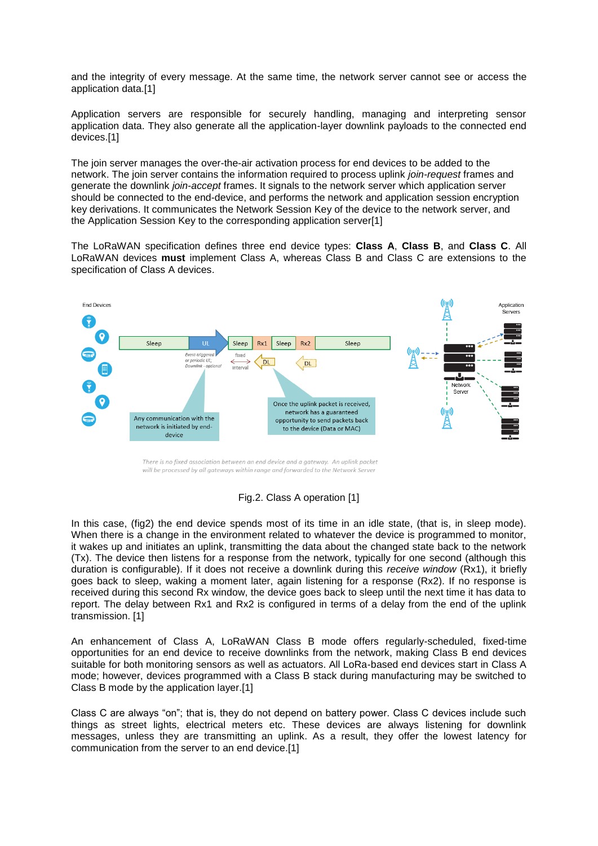and the integrity of every message. At the same time, the network server cannot see or access the application data.[1]

Application servers are responsible for securely handling, managing and interpreting sensor application data. They also generate all the application-layer downlink payloads to the connected end devices.[1]

The join server manages the over-the-air activation process for end devices to be added to the network. The join server contains the information required to process uplink *join-request* frames and generate the downlink *join-accept* frames. It signals to the network server which application server should be connected to the end-device, and performs the network and application session encryption key derivations. It communicates the Network Session Key of the device to the network server, and the Application Session Key to the corresponding application server[1]

The LoRaWAN specification defines three end device types: **Class A**, **Class B**, and **Class C**. All LoRaWAN devices **must** implement Class A, whereas Class B and Class C are extensions to the specification of Class A devices.

![](_page_2_Figure_4.jpeg)

There is no fixed association between an end device and a gateway. An uplink packet will be processed by all gateways within range and forwarded to the Network Server

#### Fig.2. Class A operation [1]

In this case, (fig2) the end device spends most of its time in an idle state, (that is, in sleep mode). When there is a change in the environment related to whatever the device is programmed to monitor, it wakes up and initiates an uplink, transmitting the data about the changed state back to the network (Tx). The device then listens for a response from the network, typically for one second (although this duration is configurable). If it does not receive a downlink during this *receive window* (Rx1), it briefly goes back to sleep, waking a moment later, again listening for a response (Rx2). If no response is received during this second Rx window, the device goes back to sleep until the next time it has data to report. The delay between Rx1 and Rx2 is configured in terms of a delay from the end of the uplink transmission. [1]

An enhancement of Class A, LoRaWAN Class B mode offers regularly-scheduled, fixed-time opportunities for an end device to receive downlinks from the network, making Class B end devices suitable for both monitoring sensors as well as actuators. All LoRa-based end devices start in Class A mode; however, devices programmed with a Class B stack during manufacturing may be switched to Class B mode by the application layer.[1]

Class C are always "on"; that is, they do not depend on battery power. Class C devices include such things as street lights, electrical meters etc. These devices are always listening for downlink messages, unless they are transmitting an uplink. As a result, they offer the lowest latency for communication from the server to an end device.[1]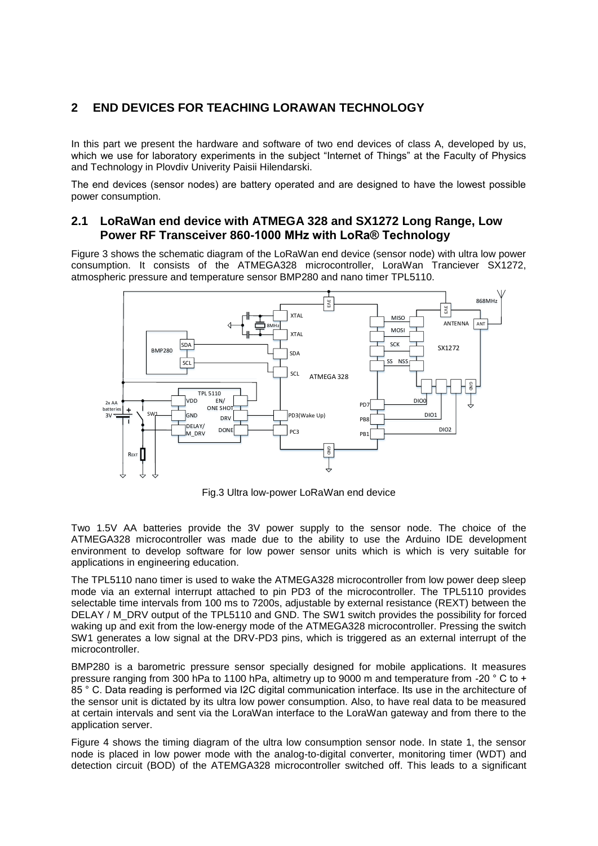## **2 END DEVICES FOR TEACHING LORAWAN TECHNOLOGY**

In this part we present the hardware and software of two end devices of class A, developed by us, which we use for laboratory experiments in the subject "Internet of Things" at the Faculty of Physics and Technology in Plovdiv Univerity Paisii Hilendarski.

The end devices (sensor nodes) arе battery operated and are designed to have the lowest possible power consumption.

### **2.1 LoRaWan end device with ATMEGA 328 and SX1272 Long Range, Low Power RF Transceiver 860-1000 MHz with LoRa® Technology**

Figure 3 shows the schematic diagram of the LoRaWan end device (sensor node) with ultra low power consumption. It consists of the ATMEGA328 microcontroller, LoraWan Tranciever SX1272, atmospheric pressure and temperature sensor BMP280 and nano timer TPL5110.

![](_page_3_Figure_5.jpeg)

Fig.3 Ultra low-power LoRaWan end device

Two 1.5V AA batteries provide the 3V power supply to the sensor node. The choice of the ATMEGA328 microcontroller was made due to the ability to use the Arduino IDE development environment to develop software for low power sensor units which is which is very suitable for applications in engineering education.

The TPL5110 nano timer is used to wake the ATMEGA328 microcontroller from low power deep sleep mode via an external interrupt attached to pin PD3 of the microcontroller. The TPL5110 provides selectable time intervals from 100 ms to 7200s, adjustable by external resistance (REXT) between the DELAY / M\_DRV output of the TPL5110 and GND. The SW1 switch provides the possibility for forced waking up and exit from the low-energy mode of the ATMEGA328 microcontroller. Pressing the switch SW1 generates a low signal at the DRV-PD3 pins, which is triggered as an external interrupt of the microcontroller.

BMP280 is a barometric pressure sensor specially designed for mobile applications. It measures pressure ranging from 300 hPa to 1100 hPa, altimetry up to 9000 m and temperature from -20 ° C to + 85 ° C. Data reading is performed via I2C digital communication interface. Its use in the architecture of the sensor unit is dictated by its ultra low power consumption. Also, to have real data to be measured at certain intervals and sent via the LoraWan interface to the LoraWan gateway and from there to the application server.

Figure 4 shows the timing diagram of the ultra low consumption sensor node. In state 1, the sensor node is placed in low power mode with the analog-to-digital converter, monitoring timer (WDT) and detection circuit (BOD) of the ATEMGA328 microcontroller switched off. This leads to a significant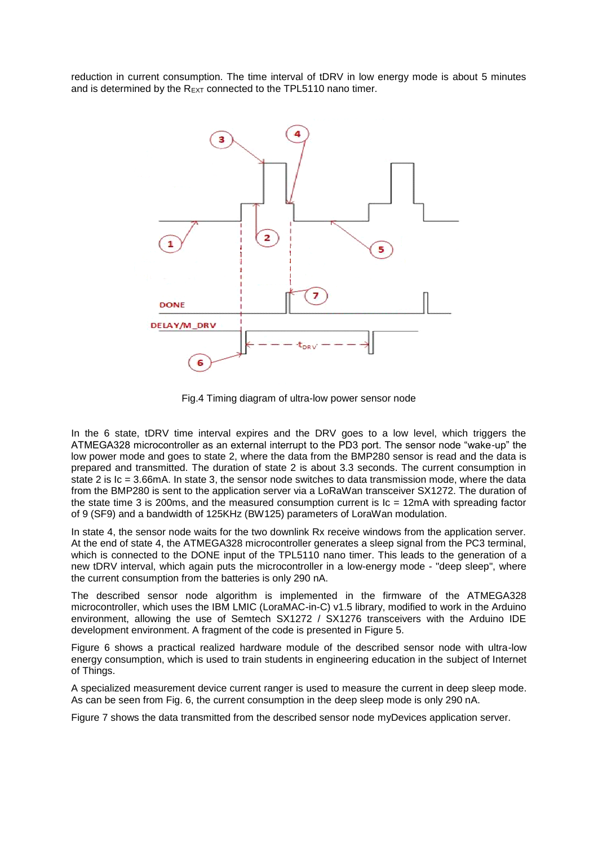reduction in current consumption. The time interval of tDRV in low energy mode is about 5 minutes and is determined by the R<sub>EXT</sub> connected to the TPL5110 nano timer.

![](_page_4_Figure_1.jpeg)

Fig.4 Timing diagram of ultra-low power sensor node

In the 6 state, tDRV time interval expires and the DRV goes to a low level, which triggers the ATMEGA328 microcontroller as an external interrupt to the PD3 port. The sensor node "wake-up" the low power mode and goes to state 2, where the data from the BMP280 sensor is read and the data is prepared and transmitted. The duration of state 2 is about 3.3 seconds. The current consumption in state 2 is Ic = 3.66mA. In state 3, the sensor node switches to data transmission mode, where the data from the BMP280 is sent to the application server via a LoRaWan transceiver SX1272. The duration of the state time 3 is 200ms, and the measured consumption current is  $Ic = 12 \text{mA}$  with spreading factor of 9 (SF9) and a bandwidth of 125KHz (BW125) parameters of LoraWan modulation.

In state 4, the sensor node waits for the two downlink Rx receive windows from the application server. At the end of state 4, the ATMEGA328 microcontroller generates a sleep signal from the PC3 terminal, which is connected to the DONE input of the TPL5110 nano timer. This leads to the generation of a new tDRV interval, which again puts the microcontroller in a low-energy mode - "deep sleep", where the current consumption from the batteries is only 290 nA.

The described sensor node algorithm is implemented in the firmware of the ATMEGA328 microcontroller, which uses the IBM LMIC (LoraMAC-in-C) v1.5 library, modified to work in the Arduino environment, allowing the use of Semtech SX1272 / SX1276 transceivers with the Arduino IDE development environment. A fragment of the code is presented in Figure 5.

Figure 6 shows a practical realized hardware module of the described sensor node with ultra-low energy consumption, which is used to train students in engineering education in the subject of Internet of Things.

A specialized measurement device current ranger is used to measure the current in deep sleep mode. As can be seen from Fig. 6, the current consumption in the deep sleep mode is only 290 nA.

Figure 7 shows the data transmitted from the described sensor node myDevices application server.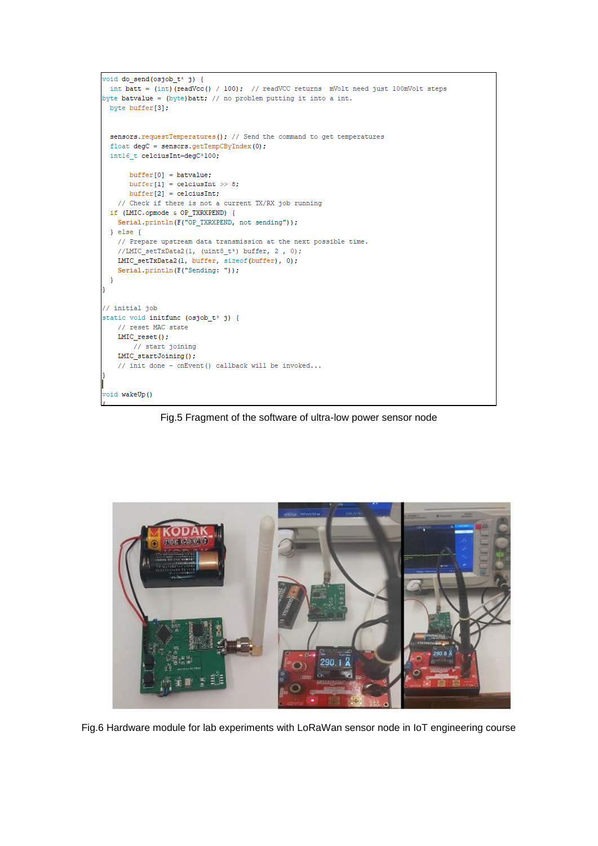```
\frac{\text{void do send}( \text{ospob}_t x^*)}{\text{if } \text{obj}int batt = (int)(readVcc() / 100); // readVCC returns mVolt need just 100mVolt steps
byte batvalue = (byte)batt; // no problem putting it into a int.
 byte buffer[3];
 sensors.requestTemperatures(); // Send the command to get temperatures
 float degC = sensors.getTempCByIndex(0);intl6 t celciusInt=degC*100;
      buffer[0] = batvalue;buffer[1] = celciusInt >> 8:
      buffer[2] = celciusInt;// Check if there is not a current TX/RX job running
 if (LMIC.opmode & OP_TXRXPEND) {
   Serial.println(F("OP_TXRXPEND, not sending"));
 \} else {
   // Prepare upstream data transmission at the next possible time.
   //LMIC_setTxData2(1, (uint8_t*) buffer, 2, 0);
   LMIC_setTxData2(1, buffer, sizeof(buffer), 0);
   Serial.println(F("Sending: "));
 \overline{\mathbf{1}}// initial job
static void initfunc (osjob_t* j) {
   // reset MAC state
   LMIC\_reset() ;
      // start joining
   LMIC_startJoining();
   // init done - onEvent() callback will be invoked...
void wakeUp()
```
Fig.5 Fragment of the software of ultra-low power sensor node

![](_page_5_Picture_2.jpeg)

Fig.6 Hardware module for lab experiments with LoRaWan sensor node in IoT engineering course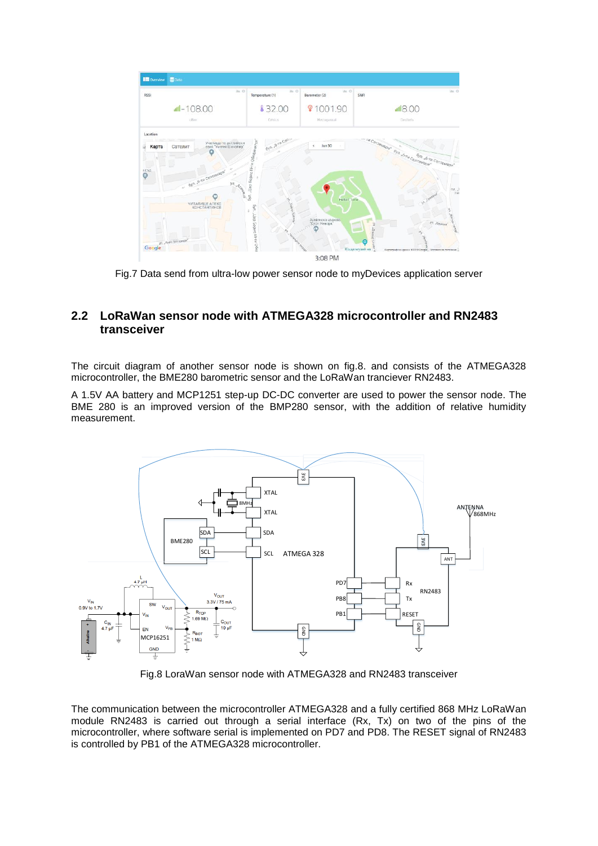![](_page_6_Figure_0.jpeg)

Fig.7 Data send from ultra-low power sensor node to myDevices application server

### **2.2 LoRaWan sensor node with ATMEGA328 microcontroller and RN2483 transceiver**

The circuit diagram of another sensor node is shown on fig.8. and consists of the ATMEGA328 microcontroller, the BME280 barometric sensor and the LoRaWan tranciever RN2483.

A 1.5V AA battery and MCP1251 step-up DC-DC converter are used to power the sensor node. The BME 280 is an improved version of the BMP280 sensor, with the addition of relative humidity measurement.

![](_page_6_Figure_5.jpeg)

Fig.8 LoraWan sensor node with ATMEGA328 and RN2483 transceiver

The communication between the microcontroller ATMEGA328 and a fully certified 868 MHz LoRaWan module RN2483 is carried out through a serial interface  $(Rx, Tx)$  on two of the pins of the microcontroller, where software serial is implemented on PD7 and PD8. The RESET signal of RN2483 is controlled by PB1 of the ATMEGA328 microcontroller.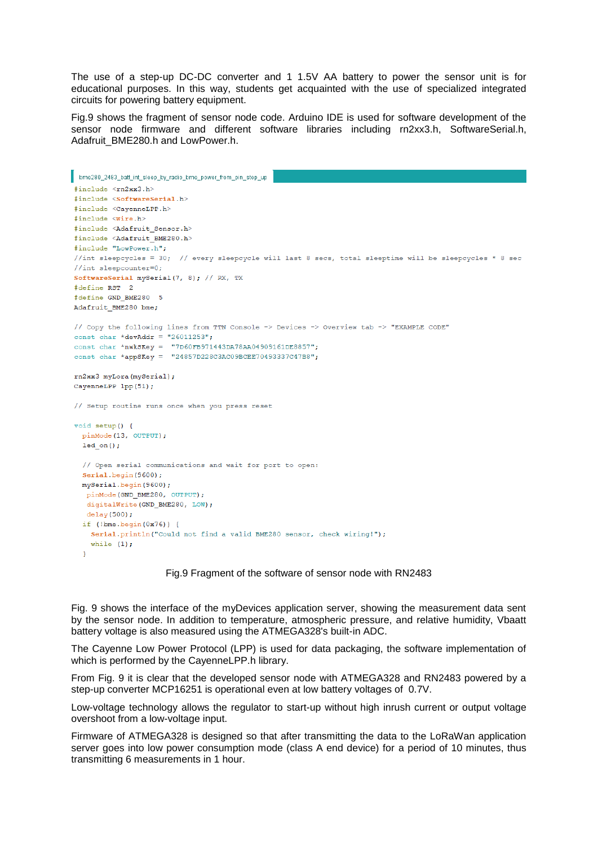The use of a step-up DC-DC converter and 1 1.5V AA battery to power the sensor unit is for educational purposes. In this way, students get acquainted with the use of specialized integrated circuits for powering battery equipment.

Fig.9 shows the fragment of sensor node code. Arduino IDE is used for software development of the sensor node firmware and different software libraries including rn2xx3.h, SoftwareSerial.h, Adafruit\_BME280.h and LowPower.h.

```
bme280_2483_batt_int_sleep_by_radio_bme_power_from_pin_step_up
#include <rn2xx3.h>
#include <SoftwareSerial.h>
#include <CayenneLPP.h>
\#include \langleWire.h>
#include <Adafruit Sensor.h>
#include <Adafruit BME280.h>
#include "LowPower.h";
//int sleepcycles = 30; // every sleepcycle will last 8 secs, total sleeptime will be sleepcycles * 8 sec
//int sleepcounter=0;
SoftwareSerial mySerial(7, 8): // RX, TX
#define RST 2
fdefine GND BME280 5
Adafruit BME280 bme;
// Copy the following lines from TTN Console -> Devices -> Overview tab -> "EXAMPLE CODE"
const char *devAddr = "26011253";
const char *nwkSKey = "7D60FB971443DA78AA04909161DE8857";
const char *appSKey = "24857D228C3AC09BCEE70493337C47B8";
rn2xx3 myLora (mySerial):
CayenneLPP lpp(51);
// Setup routine runs once when you press reset
void setup() {
  pinMode(13, OUTPUT);
  ledon();
  // Open serial communications and wait for port to open:
  Serial.begin(9600):
  mySerial.begin(9600);
   pinMode(GND BME280, OUTPUT);
   digitalWrite(GND_BME280, LOW);
   delav(500):if (lbme.begin(0x76)) {
    Serial.println("Could not find a valid BME280 sensor, check wiring!");
    while (1);
  \overline{1}
```
#### Fig.9 Fragment of the software of sensor node with RN2483

Fig. 9 shows the interface of the myDevices application server, showing the measurement data sent by the sensor node. In addition to temperature, atmospheric pressure, and relative humidity, Vbaatt battery voltage is also measured using the ATMEGA328's built-in ADC.

The Cayenne Low Power Protocol (LPP) is used for data packaging, the software implementation of which is performed by the CayenneLPP.h library.

From Fig. 9 it is clear that the developed sensor node with ATMEGA328 and RN2483 powered by a step-up converter MCP16251 is operational even at low battery voltages of 0.7V.

Low-voltage technology allows the regulator to start-up without high inrush current or output voltage overshoot from a low-voltage input.

Firmware of ATMEGA328 is designed so that after transmitting the data to the LoRaWan application server goes into low power consumption mode (class A end device) for a period of 10 minutes, thus transmitting 6 measurements in 1 hour.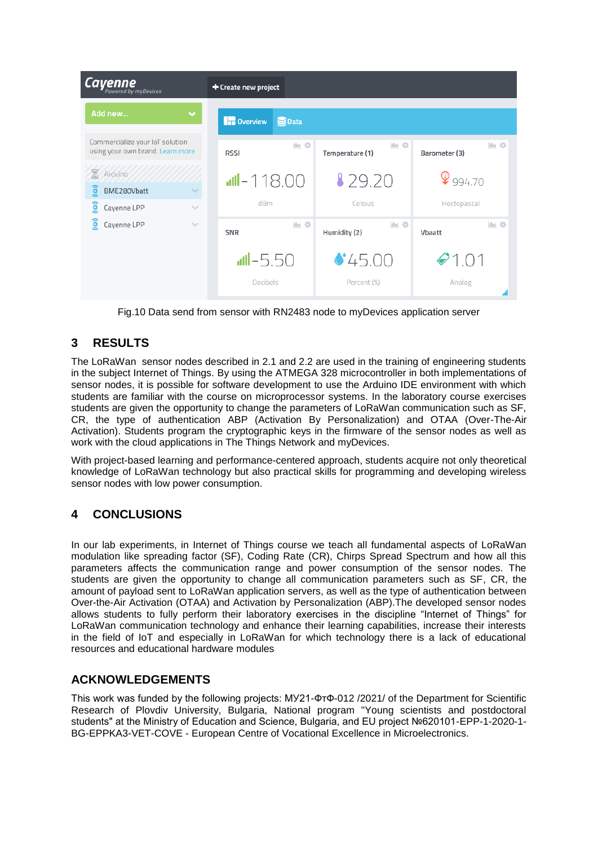| <b>Cayenne</b>                                                      | + Create new project                |                       |                               |
|---------------------------------------------------------------------|-------------------------------------|-----------------------|-------------------------------|
| Add new<br>$\checkmark$                                             | <b>In</b> Overview<br><b>S</b> Data |                       |                               |
| Commercialize your loT solution<br>using your own brand. Learn more | A 0<br><b>RSSI</b>                  | 血奇<br>Temperature (1) | IA O<br>Barometer (3)         |
| Arduino<br>⊠<br>(io)<br>BME280Vbatt<br>$\checkmark$                 | $III - 118.00$                      | 129.20                | $\mathbf{\mathcal{Q}}$ 994.70 |
| (io)<br>Cayenne LPP<br>$\sim$                                       | dBm                                 | Celsius               | Hectopascal                   |
| <b>io</b><br>Cayenne LPP<br>$\searrow$                              | <b>图</b><br>SNR                     | ▲ ※<br>Humidity (2)   | IA O<br>Vbaatt                |
|                                                                     | $-5.50$                             | 45.00                 | $\bullet$ 1.01                |
|                                                                     | Decibels                            | Percent (%)           | Analog                        |

Fig.10 Data send from sensor with RN2483 node to myDevices application server

# **3 RESULTS**

The LoRaWan sensor nodes described in 2.1 and 2.2 are used in the training of engineering students in the subject Internet of Things. By using the ATMEGA 328 microcontroller in both implementations of sensor nodes, it is possible for software development to use the Arduino IDE environment with which students are familiar with the course on microprocessor systems. In the laboratory course exercises students are given the opportunity to change the parameters of LoRaWan communication such as SF, CR, the type of authentication ABP (Activation By Personalization) and OTAA (Over-The-Air Activation). Students program the cryptographic keys in the firmware of the sensor nodes as well as work with the cloud applications in The Things Network and myDevices.

With project-based learning and performance-centered approach, students acquire not only theoretical knowledge of LoRaWan technology but also practical skills for programming and developing wireless sensor nodes with low power consumption.

## **4 CONCLUSIONS**

In our lab experiments, in Internet of Things course we teach all fundamental aspects of LoRaWan modulation like spreading factor (SF), Coding Rate (CR), Chirps Spread Spectrum and how all this parameters affects the communication range and power consumption of the sensor nodes. The students are given the opportunity to change all communication parameters such as SF, CR, the amount of payload sent to LoRaWan application servers, as well as the type of authentication between Over-the-Air Activation (OTAA) and Activation by Personalization (ABP).The developed sensor nodes allows students to fully perform their laboratory exercises in the discipline "Internet of Things" for LoRaWan communication technology and enhance their learning capabilities, increase their interests in the field of IoT and especially in LoRaWan for which technology there is a lack of educational resources and educational hardware modules

## **ACKNOWLEDGEMENTS**

This work was funded by the following projects: МУ21-ФтФ-012 /2021/ of the Department for Scientific Research of Plovdiv University, Bulgaria, National program "Young scientists and postdoctoral students" at the Ministry of Education and Science, Bulgaria, and EU project №620101-EPP-1-2020-1- BG-EPPKA3-VET-COVE - European Centre of Vocational Excellence in Microelectronics.